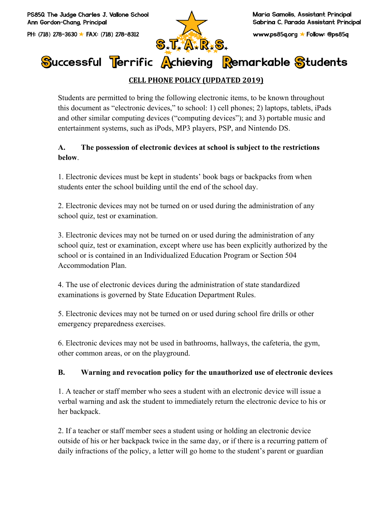PS850 The Judge Charles J. Vallone School Ann Gordon-Chana. Principal

PH: (718) 278-3630 ★ FAX: (718) 278-8312



www.ps85q.org ★ Follow: @ps85q

# Successful Terrific Achieving Remarkable Students

# **CELL PHONE POLICY (UPDATED 2019)**

Students are permitted to bring the following electronic items, to be known throughout this document as "electronic devices," to school: 1) cell phones; 2) laptops, tablets, iPads and other similar computing devices ("computing devices"); and 3) portable music and entertainment systems, such as iPods, MP3 players, PSP, and Nintendo DS.

## **A. The possession of electronic devices at school is subject to the restrictions below**.

1. Electronic devices must be kept in students' book bags or backpacks from when students enter the school building until the end of the school day.

2. Electronic devices may not be turned on or used during the administration of any school quiz, test or examination.

3. Electronic devices may not be turned on or used during the administration of any school quiz, test or examination, except where use has been explicitly authorized by the school or is contained in an Individualized Education Program or Section 504 Accommodation Plan.

4. The use of electronic devices during the administration of state standardized examinations is governed by State Education Department Rules.

5. Electronic devices may not be turned on or used during school fire drills or other emergency preparedness exercises.

6. Electronic devices may not be used in bathrooms, hallways, the cafeteria, the gym, other common areas, or on the playground.

### **B. Warning and revocation policy for the unauthorized use of electronic devices**

1. A teacher or staff member who sees a student with an electronic device will issue a verbal warning and ask the student to immediately return the electronic device to his or her backpack.

2. If a teacher or staff member sees a student using or holding an electronic device outside of his or her backpack twice in the same day, or if there is a recurring pattern of daily infractions of the policy, a letter will go home to the student's parent or guardian